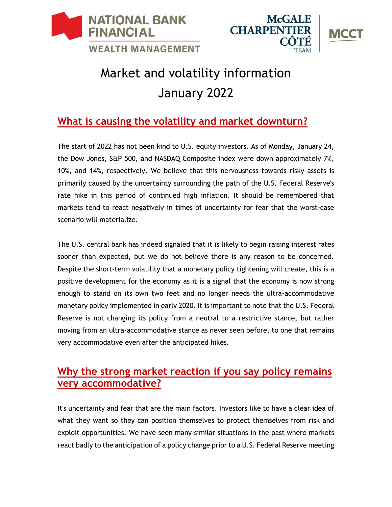





# Market and volatility information January 2022

# **What is causing the volatility and market downturn?**

The start of 2022 has not been kind to U.S. equity investors. As of Monday, January 24, the Dow Jones, S&P 500, and NASDAQ Composite index were down approximately 7%, 10%, and 14%, respectively. We believe that this nervousness towards risky assets is primarily caused by the uncertainty surrounding the path of the U.S. Federal Reserve's rate hike in this period of continued high inflation. It should be remembered that markets tend to react negatively in times of uncertainty for fear that the worst-case scenario will materialize.

The U.S. central bank has indeed signaled that it is likely to begin raising interest rates sooner than expected, but we do not believe there is any reason to be concerned. Despite the short-term volatility that a monetary policy tightening will create, this is a positive development for the economy as it is a signal that the economy is now strong enough to stand on its own two feet and no longer needs the ultra-accommodative monetary policy implemented in early 2020. It is important to note that the U.S. Federal Reserve is not changing its policy from a neutral to a restrictive stance, but rather moving from an ultra-accommodative stance as never seen before, to one that remains very accommodative even after the anticipated hikes.

## **Why the strong market reaction if you say policy remains very accommodative?**

It's uncertainty and fear that are the main factors. Investors like to have a clear idea of what they want so they can position themselves to protect themselves from risk and exploit opportunities. We have seen many similar situations in the past where markets react badly to the anticipation of a policy change prior to a U.S. Federal Reserve meeting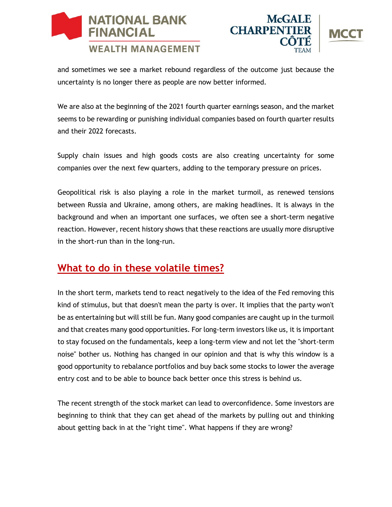





and sometimes we see a market rebound regardless of the outcome just because the uncertainty is no longer there as people are now better informed.

We are also at the beginning of the 2021 fourth quarter earnings season, and the market seems to be rewarding or punishing individual companies based on fourth quarter results and their 2022 forecasts.

Supply chain issues and high goods costs are also creating uncertainty for some companies over the next few quarters, adding to the temporary pressure on prices.

Geopolitical risk is also playing a role in the market turmoil, as renewed tensions between Russia and Ukraine, among others, are making headlines. It is always in the background and when an important one surfaces, we often see a short-term negative reaction. However, recent history shows that these reactions are usually more disruptive in the short-run than in the long-run.

## **What to do in these volatile times?**

In the short term, markets tend to react negatively to the idea of the Fed removing this kind of stimulus, but that doesn't mean the party is over. It implies that the party won't be as entertaining but will still be fun. Many good companies are caught up in the turmoil and that creates many good opportunities. For long-term investors like us, it is important to stay focused on the fundamentals, keep a long-term view and not let the "short-term noise" bother us. Nothing has changed in our opinion and that is why this window is a good opportunity to rebalance portfolios and buy back some stocks to lower the average entry cost and to be able to bounce back better once this stress is behind us.

The recent strength of the stock market can lead to overconfidence. Some investors are beginning to think that they can get ahead of the markets by pulling out and thinking about getting back in at the "right time". What happens if they are wrong?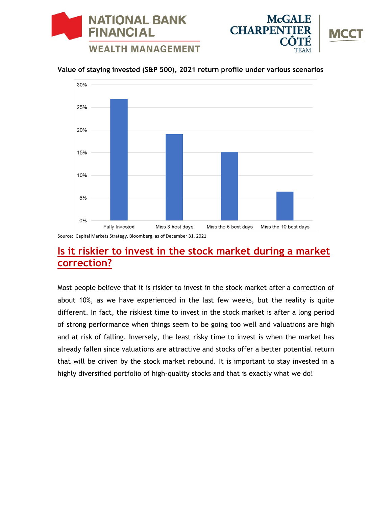





#### **Value of staying invested (S&P 500), 2021 return profile under various scenarios**



Source: Capital Markets Strategy, Bloomberg, as of December 31, 2021

## **Is it riskier to invest in the stock market during a market correction?**

Most people believe that it is riskier to invest in the stock market after a correction of about 10%, as we have experienced in the last few weeks, but the reality is quite different. In fact, the riskiest time to invest in the stock market is after a long period of strong performance when things seem to be going too well and valuations are high and at risk of falling. Inversely, the least risky time to invest is when the market has already fallen since valuations are attractive and stocks offer a better potential return that will be driven by the stock market rebound. It is important to stay invested in a highly diversified portfolio of high-quality stocks and that is exactly what we do!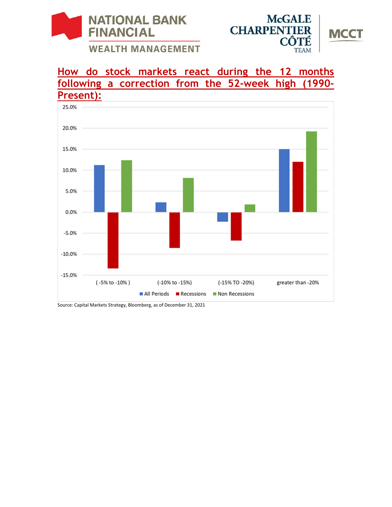



## **How do stock markets react during the 12 months following a correction from the 52-week high (1990- Present):**



Source: Capital Markets Strategy, Bloomberg, as of December 31, 2021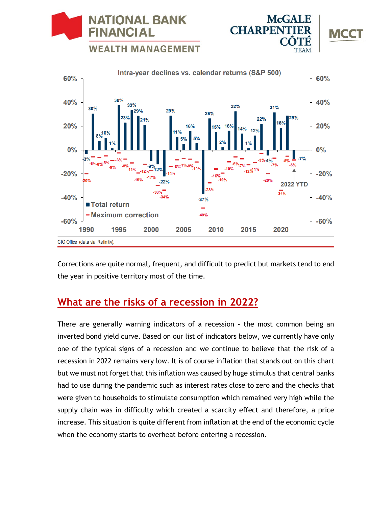**WEALTH MANAGEMENT** 

**NATIONAL BANK** 

**FINANCIAL** 



**McGALE** 

MCC

**CHARPENT** 

Corrections are quite normal, frequent, and difficult to predict but markets tend to end the year in positive territory most of the time.

## **What are the risks of a recession in 2022?**

There are generally warning indicators of a recession - the most common being an inverted bond yield curve. Based on our list of indicators below, we currently have only one of the typical signs of a recession and we continue to believe that the risk of a recession in 2022 remains very low. It is of course inflation that stands out on this chart but we must not forget that this inflation was caused by huge stimulus that central banks had to use during the pandemic such as interest rates close to zero and the checks that were given to households to stimulate consumption which remained very high while the supply chain was in difficulty which created a scarcity effect and therefore, a price increase. This situation is quite different from inflation at the end of the economic cycle when the economy starts to overheat before entering a recession.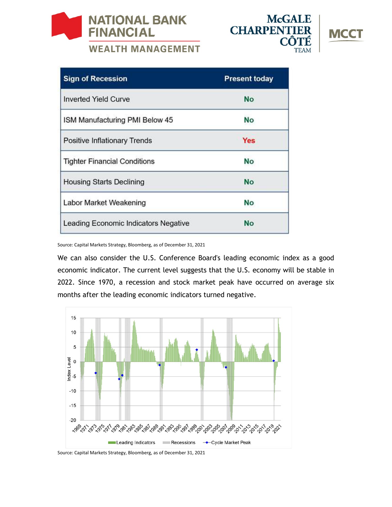



| <b>Sign of Recession</b>             | <b>Present today</b> |
|--------------------------------------|----------------------|
| <b>Inverted Yield Curve</b>          | <b>No</b>            |
| ISM Manufacturing PMI Below 45       | No                   |
| <b>Positive Inflationary Trends</b>  | <b>Yes</b>           |
| <b>Tighter Financial Conditions</b>  | No                   |
| <b>Housing Starts Declining</b>      | <b>No</b>            |
| Labor Market Weakening               | No                   |
| Leading Economic Indicators Negative | <b>No</b>            |

Source: Capital Markets Strategy, Bloomberg, as of December 31, 2021

We can also consider the U.S. Conference Board's leading economic index as a good economic indicator. The current level suggests that the U.S. economy will be stable in 2022. Since 1970, a recession and stock market peak have occurred on average six months after the leading economic indicators turned negative.



Source: Capital Markets Strategy, Bloomberg, as of December 31, 2021